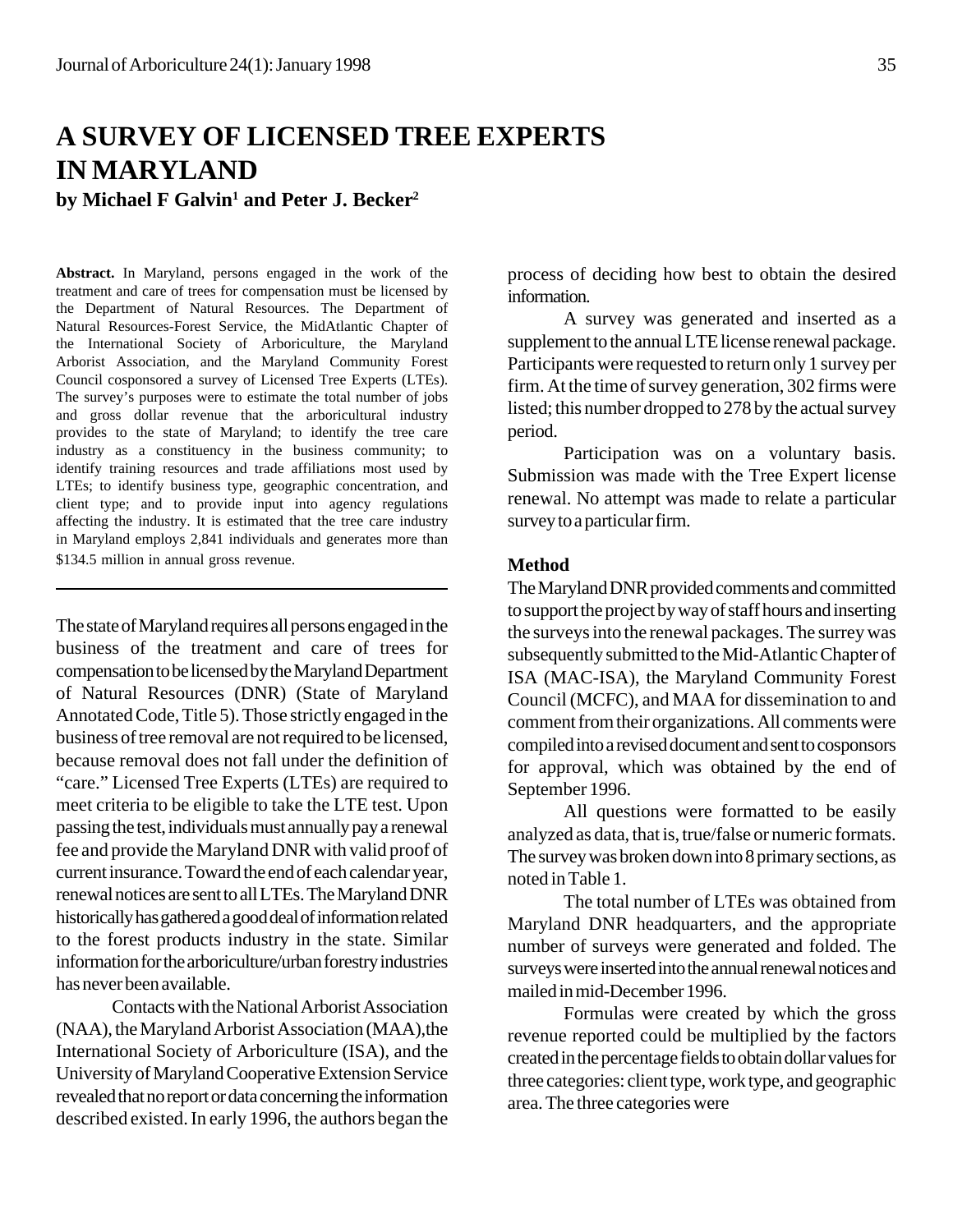# **A SURVEY OF LICENSED TREE EXPERTS IN MARYLAND**

**by Michael F Galvin1 and Peter J. Becker2**

**Abstract.** In Maryland, persons engaged in the work of the treatment and care of trees for compensation must be licensed by the Department of Natural Resources. The Department of Natural Resources-Forest Service, the MidAtlantic Chapter of the International Society of Arboriculture, the Maryland Arborist Association, and the Maryland Community Forest Council cosponsored a survey of Licensed Tree Experts (LTEs). The survey's purposes were to estimate the total number of jobs and gross dollar revenue that the arboricultural industry provides to the state of Maryland; to identify the tree care industry as a constituency in the business community; to identify training resources and trade affiliations most used by LTEs; to identify business type, geographic concentration, and client type; and to provide input into agency regulations affecting the industry. It is estimated that the tree care industry in Maryland employs 2,841 individuals and generates more than \$134.5 million in annual gross revenue.

The state of Maryland requires all persons engaged in the business of the treatment and care of trees for compensation to be licensed by the Maryland Department of Natural Resources (DNR) (State of Maryland Annotated Code, Title 5). Those strictly engaged in the business of tree removal are not required to be licensed, because removal does not fall under the definition of "care." Licensed Tree Experts (LTEs) are required to meet criteria to be eligible to take the LTE test. Upon passing the test, individuals must annually pay a renewal fee and provide the Maryland DNR with valid proof of current insurance. Toward the end of each calendar year, renewal notices are sent to all LTEs. The Maryland DNR historically has gathered a good deal of information related to the forest products industry in the state. Similar information for the arboriculture/urban forestry industries has never been available.

Contacts with the National Arborist Association (NAA), the Maryland Arborist Association (MAA),the International Society of Arboriculture (ISA), and the University of Maryland Cooperative Extension Service revealed that no report or data concerning the information described existed. In early 1996, the authors began the

process of deciding how best to obtain the desired information.

A survey was generated and inserted as a supplement to the annual LTE license renewal package. Participants were requested to return only 1 survey per firm. At the time of survey generation, 302 firms were listed; this number dropped to 278 by the actual survey period.

Participation was on a voluntary basis. Submission was made with the Tree Expert license renewal. No attempt was made to relate a particular survey to a particular firm.

## **Method**

The Maryland DNR provided comments and committed to support the project by way of staff hours and inserting the surveys into the renewal packages. The surrey was subsequently submitted to the Mid-Atlantic Chapter of ISA (MAC-ISA), the Maryland Community Forest Council (MCFC), and MAA for dissemination to and comment from their organizations. All comments were compiled into a revised document and sent to cosponsors for approval, which was obtained by the end of September 1996.

All questions were formatted to be easily analyzed as data, that is, true/false or numeric formats. The survey was broken down into 8 primary sections, as noted in Table 1.

The total number of LTEs was obtained from Maryland DNR headquarters, and the appropriate number of surveys were generated and folded. The surveys were inserted into the annual renewal notices and mailed in mid-December 1996.

Formulas were created by which the gross revenue reported could be multiplied by the factors created in the percentage fields to obtain dollar values for three categories: client type, work type, and geographic area. The three categories were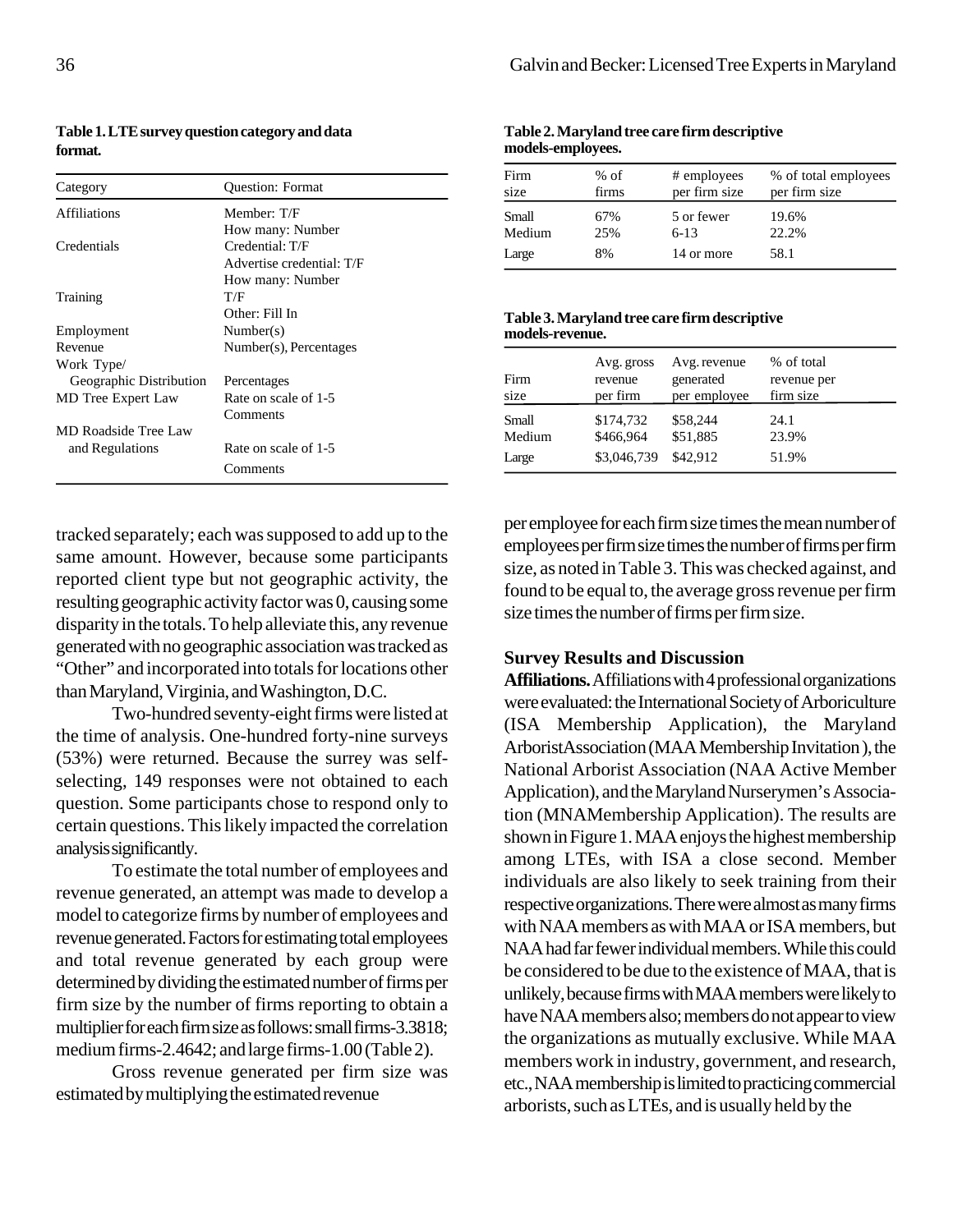| Category                | <b>Ouestion: Format</b>   |  |  |
|-------------------------|---------------------------|--|--|
| <b>Affiliations</b>     | Member: T/F               |  |  |
|                         | How many: Number          |  |  |
| Credentials             | Credential: T/F           |  |  |
|                         | Advertise credential: T/F |  |  |
|                         | How many: Number          |  |  |
| Training                | T/F                       |  |  |
|                         | Other: Fill In            |  |  |
| Employment              | Number(s)                 |  |  |
| Revenue                 | Number(s), Percentages    |  |  |
| Work Type/              |                           |  |  |
| Geographic Distribution | Percentages               |  |  |
| MD Tree Expert Law      | Rate on scale of 1-5      |  |  |
|                         | Comments                  |  |  |
| MD Roadside Tree Law    |                           |  |  |
| and Regulations         | Rate on scale of 1-5      |  |  |
|                         | Comments                  |  |  |

**Table 1. LTE survey question category and data format.**

tracked separately; each was supposed to add up to the same amount. However, because some participants reported client type but not geographic activity, the resulting geographic activity factor was 0, causing some disparity in the totals. To help alleviate this, any revenue generated with no geographic association was tracked as "Other" and incorporated into totals for locations other than Maryland, Virginia, and Washington, D.C.

Two-hundred seventy-eight firms were listed at the time of analysis. One-hundred forty-nine surveys (53%) were returned. Because the surrey was selfselecting, 149 responses were not obtained to each question. Some participants chose to respond only to certain questions. This likely impacted the correlation analysis significantly.

To estimate the total number of employees and revenue generated, an attempt was made to develop a model to categorize firms by number of employees and revenue generated. Factors for estimating total employees and total revenue generated by each group were determined by dividing the estimated number of firms per firm size by the number of firms reporting to obtain a multiplier for each firm size as follows: small firms-3.3818; medium firms-2.4642; and large firms-1.00 (Table 2).

Gross revenue generated per firm size was estimated by multiplying the estimated revenue

#### **Table 2. Maryland tree care firm descriptive models-employees.**

| Firm   | $%$ of | # employees   | % of total employees |
|--------|--------|---------------|----------------------|
| size   | firms  | per firm size | per firm size        |
| Small  | 67%    | 5 or fewer    | 19.6%                |
| Medium | 25%    | $6 - 13$      | 22.2%                |
| Large  | 8%     | 14 or more    | 58.1                 |

#### **Table 3. Maryland tree care firm descriptive models-revenue.**

| Firm<br>size | Avg. gross<br>revenue<br>per firm | Avg. revenue<br>generated<br>per employee | % of total<br>revenue per<br>firm size |
|--------------|-----------------------------------|-------------------------------------------|----------------------------------------|
| Small        | \$174,732                         | \$58,244                                  | 24.1                                   |
| Medium       | \$466,964                         | \$51,885                                  | 23.9%                                  |
| Large        | \$3,046,739                       | \$42.912                                  | 51.9%                                  |

per employee for each firm size times the mean number of employees per firm size times the number of firms per firm size, as noted in Table 3. This was checked against, and found to be equal to, the average gross revenue per firm size times the number of firms per firm size.

## **Survey Results and Discussion**

**Affiliations.** Affiliations with 4 professional organizations were evaluated: the International Society of Arboriculture (ISA Membership Application), the Maryland ArboristAssociation (MAA Membership Invitation ), the National Arborist Association (NAA Active Member Application), and the Maryland Nurserymen's Association (MNAMembership Application). The results are shown in Figure 1. MAA enjoys the highest membership among LTEs, with ISA a close second. Member individuals are also likely to seek training from their respective organizations. There were almost as many firms with NAA members as with MAA or ISA members, but NAA had far fewer individual members. While this could be considered to be due to the existence of MAA, that is unlikely, because firms with MAA members were likely to have NAA members also; members do not appear to view the organizations as mutually exclusive. While MAA members work in industry, government, and research, etc., NAA membership is limited to practicing commercial arborists, such as LTEs, and is usually held by the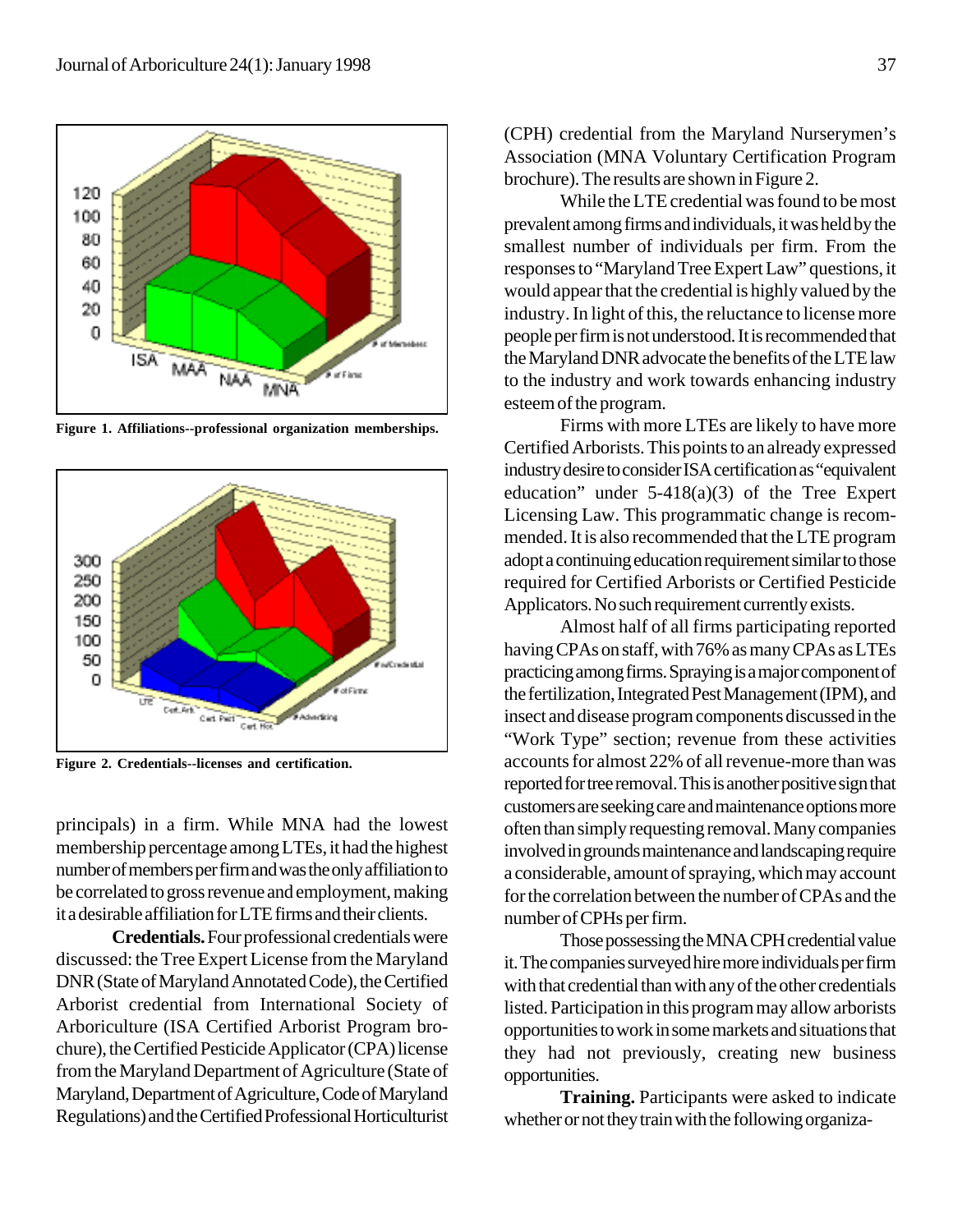

**Figure 1. Affiliations--professional organization memberships.**



**Figure 2. Credentials--licenses and certification.**

principals) in a firm. While MNA had the lowest membership percentage among LTEs, it had the highest number of members per firm and was the only affiliation to be correlated to gross revenue and employment, making it a desirable affiliation for LTE firms and their clients.

**Credentials.** Four professional credentials were discussed: the Tree Expert License from the Maryland DNR (State of Maryland Annotated Code), the Certified Arborist credential from International Society of Arboriculture (ISA Certified Arborist Program brochure), the Certified Pesticide Applicator (CPA) license from the Maryland Department of Agriculture (State of Maryland, Department of Agriculture, Code of Maryland Regulations) and the Certified Professional Horticulturist (CPH) credential from the Maryland Nurserymen's Association (MNA Voluntary Certification Program brochure). The results are shown in Figure 2.

While the LTE credential was found to be most prevalent among firms and individuals, it was held by the smallest number of individuals per firm. From the responses to "Maryland Tree Expert Law" questions, it would appear that the credential is highly valued by the industry. In light of this, the reluctance to license more people per firm is not understood. It is recommended that the Maryland DNR advocate the benefits of the LTE law to the industry and work towards enhancing industry esteem of the program.

Firms with more LTEs are likely to have more Certified Arborists. This points to an already expressed industry desire to consider ISA certification as "equivalent education" under  $5-418(a)(3)$  of the Tree Expert Licensing Law. This programmatic change is recommended. It is also recommended that the LTE program adopt a continuing education requirement similar to those required for Certified Arborists or Certified Pesticide Applicators. No such requirement currently exists.

Almost half of all firms participating reported having CPAs on staff, with 76% as many CPAs as LTEs practicing among firms. Spraying is a major component of the fertilization, Integrated Pest Management (IPM), and insect and disease program components discussed in the "Work Type" section; revenue from these activities accounts for almost 22% of all revenue-more than was reported for tree removal. This is another positive sign that customers are seeking care and maintenance options more often than simply requesting removal. Many companies involved in grounds maintenance and landscaping require a considerable, amount of spraying, which may account for the correlation between the number of CPAs and the number of CPHs per firm.

Those possessing the MNA CPH credential value it. The companies surveyed hire more individuals per firm with that credential than with any of the other credentials listed. Participation in this program may allow arborists opportunities to work in some markets and situations that they had not previously, creating new business opportunities.

**Training.** Participants were asked to indicate whether or not they train with the following organiza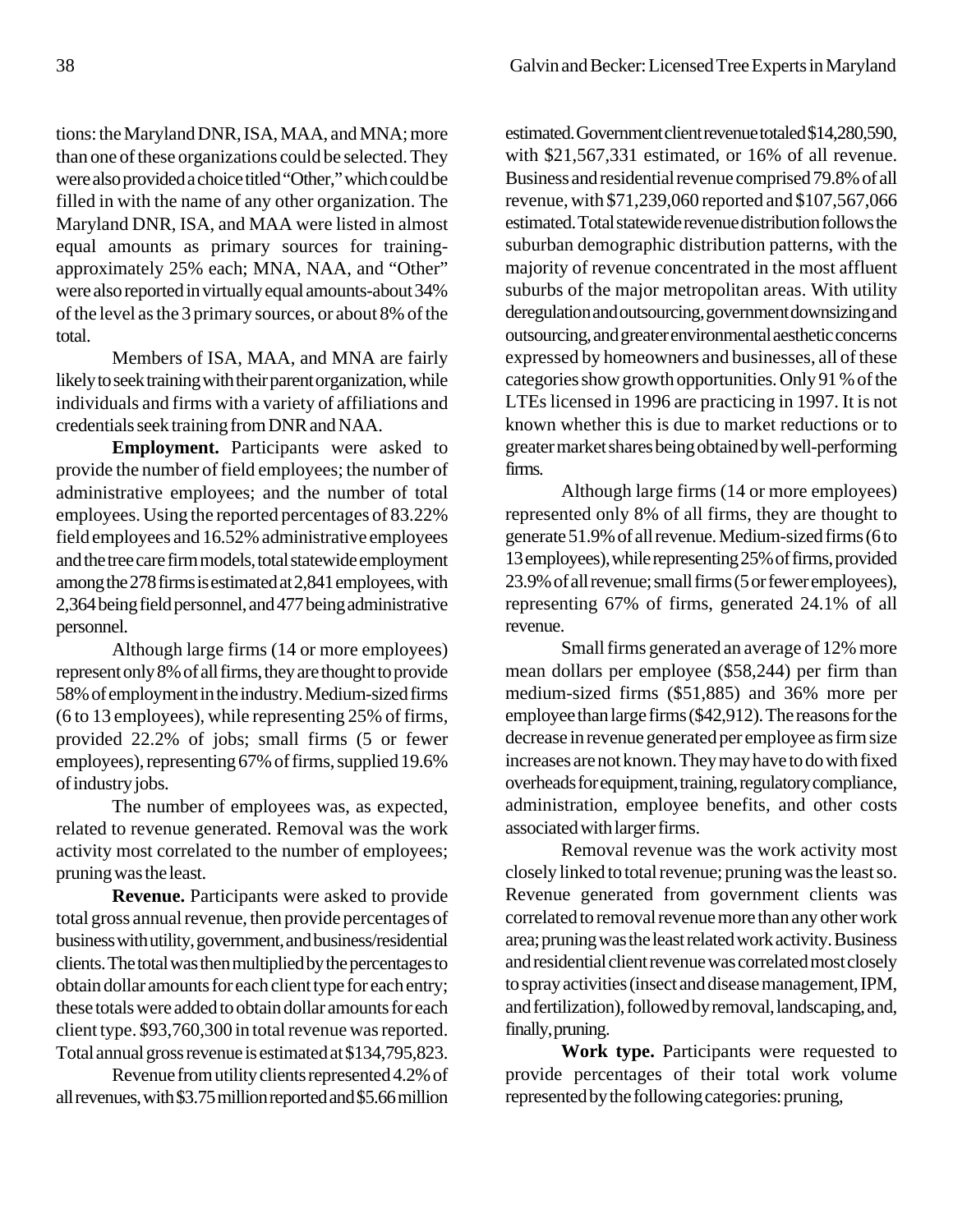tions: the Maryland DNR, ISA, MAA, and MNA; more than one of these organizations could be selected. They were also provided a choice titled "Other," which could be filled in with the name of any other organization. The Maryland DNR, ISA, and MAA were listed in almost equal amounts as primary sources for trainingapproximately 25% each; MNA, NAA, and "Other" were also reported in virtually equal amounts-about 34% of the level as the 3 primary sources, or about 8% of the total.

Members of ISA, MAA, and MNA are fairly likely to seek training with their parent organization, while individuals and firms with a variety of affiliations and credentials seek training from DNR and NAA.

**Employment.** Participants were asked to provide the number of field employees; the number of administrative employees; and the number of total employees. Using the reported percentages of 83.22% field employees and 16.52% administrative employees and the tree care firm models, total statewide employment among the 278 firms is estimated at 2,841 employees, with 2,364 being field personnel, and 477 being administrative personnel.

Although large firms (14 or more employees) represent only 8% of all firms, they are thought to provide 58% of employment in the industry. Medium-sized firms (6 to 13 employees), while representing 25% of firms, provided 22.2% of jobs; small firms (5 or fewer employees), representing 67% of firms, supplied 19.6% of industry jobs.

The number of employees was, as expected, related to revenue generated. Removal was the work activity most correlated to the number of employees; pruning was the least.

**Revenue.** Participants were asked to provide total gross annual revenue, then provide percentages of business with utility, government, and business/residential clients. The total was then multiplied by the percentages to obtain dollar amounts for each client type for each entry; these totals were added to obtain dollar amounts for each client type. \$93,760,300 in total revenue was reported. Total annual gross revenue is estimated at \$134,795,823.

Revenue from utility clients represented 4.2% of all revenues, with \$3.75 million reported and \$5.66 million estimated. Government client revenue totaled \$14,280,590, with \$21,567,331 estimated, or 16% of all revenue. Business and residential revenue comprised 79.8% of all revenue, with \$71,239,060 reported and \$107,567,066 estimated. Total statewide revenue distribution follows the suburban demographic distribution patterns, with the majority of revenue concentrated in the most affluent suburbs of the major metropolitan areas. With utility deregulation and outsourcing, government downsizing and outsourcing, and greater environmental aesthetic concerns expressed by homeowners and businesses, all of these categories show growth opportunities. Only 91 % of the LTEs licensed in 1996 are practicing in 1997. It is not known whether this is due to market reductions or to greater market shares being obtained by well-performing firms.

Although large firms (14 or more employees) represented only 8% of all firms, they are thought to generate 51.9% of all revenue. Medium-sized firms (6 to 13 employees), while representing 25% of firms, provided 23.9% of all revenue; small firms (5 or fewer employees), representing 67% of firms, generated 24.1% of all revenue.

Small firms generated an average of 12% more mean dollars per employee (\$58,244) per firm than medium-sized firms (\$51,885) and 36% more per employee than large firms (\$42,912). The reasons for the decrease in revenue generated per employee as firm size increases are not known. They may have to do with fixed overheads for equipment, training, regulatory compliance, administration, employee benefits, and other costs associated with larger firms.

Removal revenue was the work activity most closely linked to total revenue; pruning was the least so. Revenue generated from government clients was correlated to removal revenue more than any other work area; pruning was the least related work activity. Business and residential client revenue was correlated most closely to spray activities (insect and disease management, IPM, and fertilization), followed by removal, landscaping, and, finally, pruning.

**Work type.** Participants were requested to provide percentages of their total work volume represented by the following categories: pruning,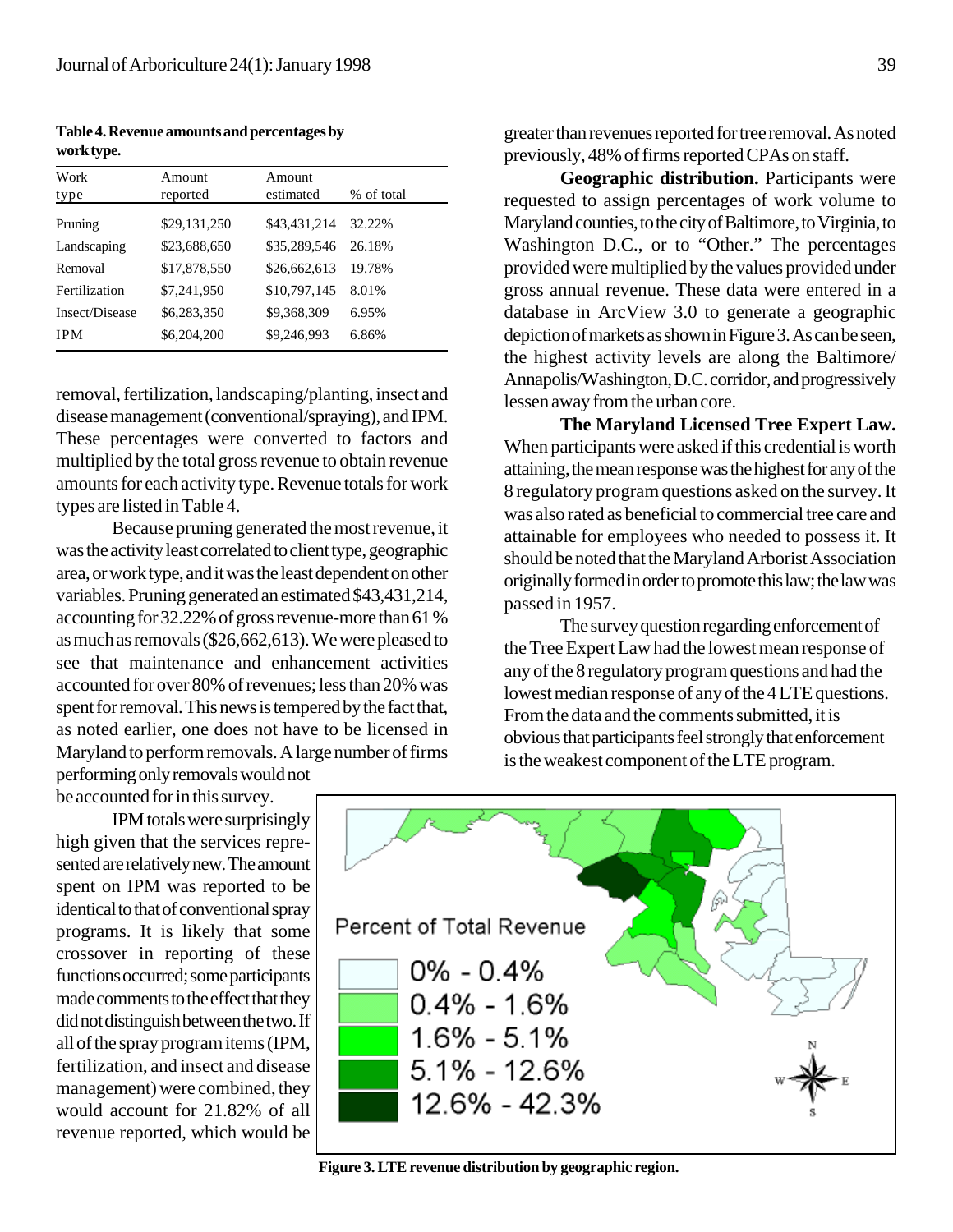**Table 4. Revenue amounts and percentages by work type.**

| Work<br>type   | Amount<br>reported | Amount<br>estimated | % of total |
|----------------|--------------------|---------------------|------------|
| Pruning        | \$29,131,250       | \$43,431,214        | 32.22%     |
| Landscaping    | \$23,688,650       | \$35,289,546        | 26.18%     |
| Removal        | \$17,878,550       | \$26,662,613        | 19.78%     |
| Fertilization  | \$7,241,950        | \$10,797,145        | 8.01%      |
| Insect/Disease | \$6,283,350        | \$9,368,309         | 6.95%      |
| <b>IPM</b>     | \$6,204,200        | \$9,246,993         | 6.86%      |

removal, fertilization, landscaping/planting, insect and disease management (conventional/spraying), and IPM. These percentages were converted to factors and multiplied by the total gross revenue to obtain revenue amounts for each activity type. Revenue totals for work types are listed in Table 4.

Because pruning generated the most revenue, it was the activity least correlated to client type, geographic area, or work type, and it was the least dependent on other variables. Pruning generated an estimated \$43,431,214, accounting for 32.22% of gross revenue-more than 61 % as much as removals (\$26,662,613). We were pleased to see that maintenance and enhancement activities accounted for over 80% of revenues; less than 20% was spent for removal. This news is tempered by the fact that, as noted earlier, one does not have to be licensed in Maryland to perform removals. A large number of firms performing only removals would not

be accounted for in this survey.

IPM totals were surprisingly high given that the services represented are relatively new. The amount spent on IPM was reported to be identical to that of conventional spray programs. It is likely that some crossover in reporting of these functions occurred; some participants made comments to the effect that they did not distinguish between the two. If all of the spray program items (IPM, fertilization, and insect and disease management) were combined, they would account for 21.82% of all revenue reported, which would be

**Geographic distribution.** Participants were requested to assign percentages of work volume to Maryland counties, to the city of Baltimore, to Virginia, to Washington D.C., or to "Other." The percentages provided were multiplied by the values provided under gross annual revenue. These data were entered in a database in ArcView 3.0 to generate a geographic depiction of markets as shown in Figure 3. As can be seen, the highest activity levels are along the Baltimore/ Annapolis/Washington, D.C. corridor, and progressively lessen away from the urban core.

**The Maryland Licensed Tree Expert Law.** When participants were asked if this credential is worth attaining, the mean response was the highest for any of the 8 regulatory program questions asked on the survey. It was also rated as beneficial to commercial tree care and attainable for employees who needed to possess it. It should be noted that the Maryland Arborist Association originally formed in order to promote this law; the law was passed in 1957.

The survey question regarding enforcement of the Tree Expert Law had the lowest mean response of any of the 8 regulatory program questions and had the lowest median response of any of the 4 LTE questions. From the data and the comments submitted, it is obvious that participants feel strongly that enforcement is the weakest component of the LTE program.



**Figure 3. LTE revenue distribution by geographic region.**